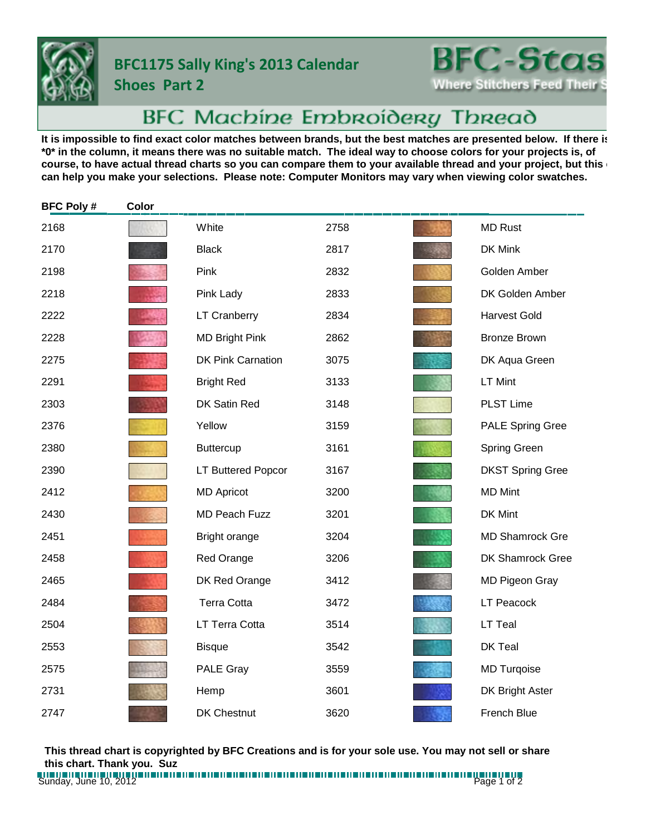

## **BFC1175 Sally King's 2013 Calendar**

**Shoes Part 2**

**BFC-Stas Where Stitchers Feed Their** 

## BFC Machine Embroidery Thread

It is impossible to find exact color matches between brands, but the best matches are presented below. If there is **\*0\* in the column, it means there was no suitable match. The ideal way to choose colors for your projects is, of**  course, to have actual thread charts so you can compare them to your available thread and your project, but this **can help you make your selections. Please note: Computer Monitors may vary when viewing color swatches.**

| <b>BFC Poly#</b> | Color |                          |      |                         |
|------------------|-------|--------------------------|------|-------------------------|
| 2168             |       | White                    | 2758 | <b>MD Rust</b>          |
| 2170             |       | <b>Black</b>             | 2817 | DK Mink                 |
| 2198             |       | Pink                     | 2832 | Golden Amber            |
| 2218             |       | Pink Lady                | 2833 | DK Golden Amber         |
| 2222             |       | <b>LT Cranberry</b>      | 2834 | <b>Harvest Gold</b>     |
| 2228             |       | <b>MD Bright Pink</b>    | 2862 | <b>Bronze Brown</b>     |
| 2275             |       | <b>DK Pink Carnation</b> | 3075 | DK Aqua Green           |
| 2291             |       | <b>Bright Red</b>        | 3133 | LT Mint                 |
| 2303             |       | DK Satin Red             | 3148 | <b>PLST Lime</b>        |
| 2376             |       | Yellow                   | 3159 | <b>PALE Spring Gree</b> |
| 2380             |       | <b>Buttercup</b>         | 3161 | Spring Green            |
| 2390             |       | LT Buttered Popcor       | 3167 | <b>DKST Spring Gree</b> |
| 2412             |       | <b>MD Apricot</b>        | 3200 | <b>MD Mint</b>          |
| 2430             |       | <b>MD Peach Fuzz</b>     | 3201 | DK Mint                 |
| 2451             |       | Bright orange            | 3204 | <b>MD Shamrock Gre</b>  |
| 2458             |       | Red Orange               | 3206 | DK Shamrock Gree        |
| 2465             |       | DK Red Orange            | 3412 | MD Pigeon Gray          |
| 2484             |       | <b>Terra Cotta</b>       | 3472 | <b>LT Peacock</b>       |
| 2504             |       | LT Terra Cotta           | 3514 | LT Teal                 |
| 2553             |       | <b>Bisque</b>            | 3542 | DK Teal                 |
| 2575             |       | PALE Gray                | 3559 | <b>MD Turqoise</b>      |
| 2731             |       | Hemp                     | 3601 | DK Bright Aster         |
| 2747             |       | DK Chestnut              | 3620 | French Blue             |

**This thread chart is copyrighted by BFC Creations and is for your sole use. You may not sell or share this chart. Thank you. Suz**